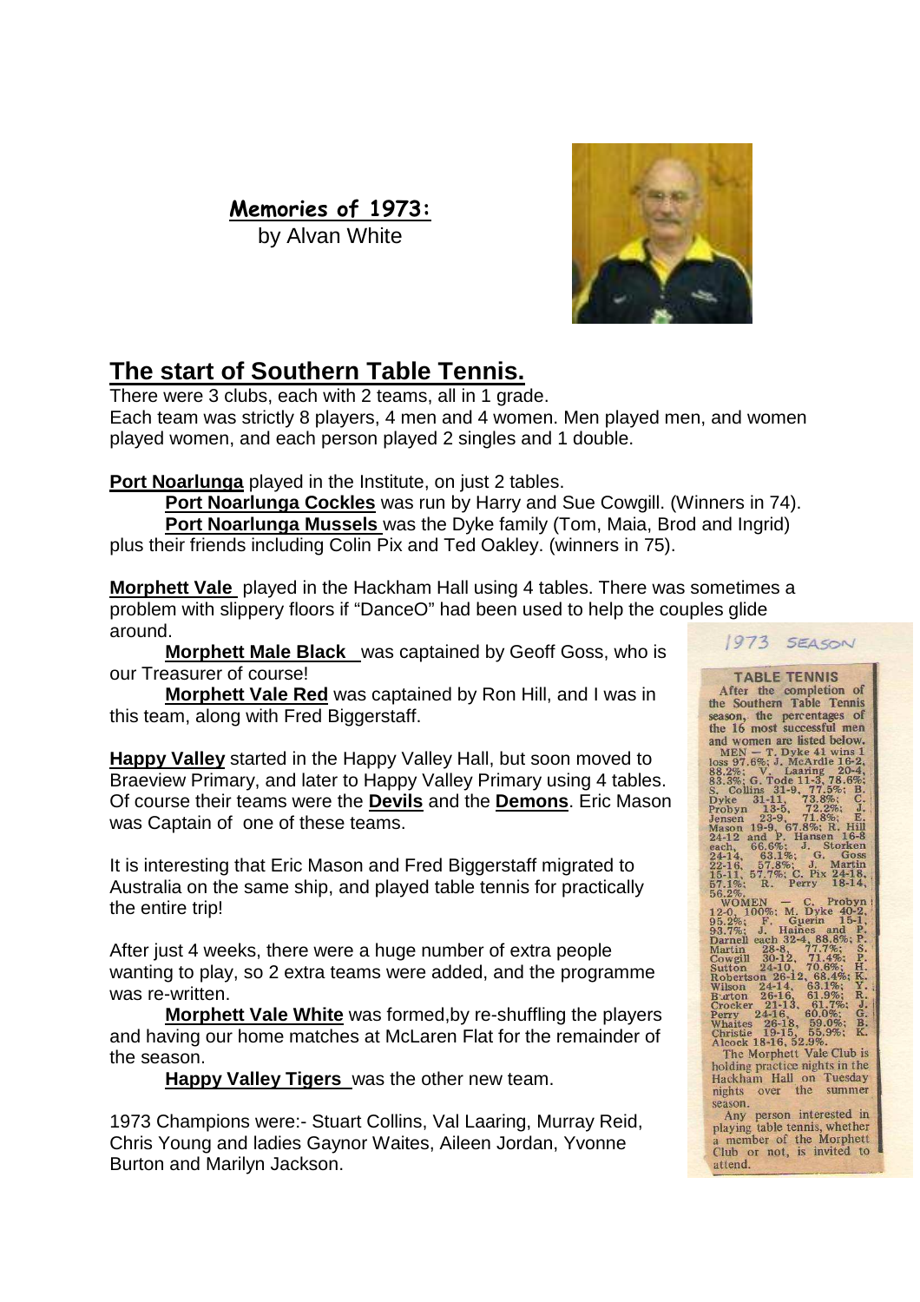## Memories of 1973:

by Alvan White



## **The start of Southern Table Tennis.**

There were 3 clubs, each with 2 teams, all in 1 grade.

Each team was strictly 8 players, 4 men and 4 women. Men played men, and women played women, and each person played 2 singles and 1 double.

**Port Noarlunga** played in the Institute, on just 2 tables.

**Port Noarlunga Cockles** was run by Harry and Sue Cowgill. (Winners in 74). **Port Noarlunga Mussels** was the Dyke family (Tom, Maia, Brod and Ingrid) plus their friends including Colin Pix and Ted Oakley. (winners in 75).

**Morphett Vale** played in the Hackham Hall using 4 tables. There was sometimes a problem with slippery floors if "DanceO" had been used to help the couples glide around.

**Morphett Male Black** was captained by Geoff Goss, who is our Treasurer of course!

**Morphett Vale Red** was captained by Ron Hill, and I was in this team, along with Fred Biggerstaff.

**Happy Valley** started in the Happy Valley Hall, but soon moved to Braeview Primary, and later to Happy Valley Primary using 4 tables. Of course their teams were the **Devils** and the **Demons**. Eric Mason was Captain of one of these teams.

It is interesting that Eric Mason and Fred Biggerstaff migrated to Australia on the same ship, and played table tennis for practically the entire trip!

After just 4 weeks, there were a huge number of extra people wanting to play, so 2 extra teams were added, and the programme was re-written.

**Morphett Vale White** was formed,by re-shuffling the players and having our home matches at McLaren Flat for the remainder of the season.

**Happy Valley Tigers** was the other new team.

1973 Champions were:- Stuart Collins, Val Laaring, Murray Reid, Chris Young and ladies Gaynor Waites, Aileen Jordan, Yvonne Burton and Marilyn Jackson.

1973 **SEASON TABLE TENNIS** After the completion of the Southern Table Tennis season, the percentages of the 16 most successful men and women are listed below. MEN – T. Dyke 41 wins 1<br>
MEN – T. Dyke 41 wins 1<br>
loss 97.6%; J. McArdle 16-2,<br>
88.2%; V. Laaring 20-4,<br>
83.3%; G. Tode 11-3, 78.6%;<br>
S. Collins 31-9, 77.5%; B.<br>
Dyke 31-11, 73.8%; C.<br>
Probyn 13-5, 72.2%; J.<br>
Jensen 23-9,  $56.2\%$ . WOMEN – C. Probyn<br>56.2%.<br>WOMEN – C. Probyn<br>12-0, 100%; M. Dyke 40-2,<br>95.2%; F. Guerin 15-1,<br>93.7%; J. Haines and P.<br>Darnell each 32-4, 88.8%; P.<br>Martin 28-8, 77.7%; P.<br>Sutton 24-10, 70.6%; H.<br>Robertson 26-12, 68 B. atom 26-16,<br>
Crocker 21-13, 6<br>
Perry 24-16, 6<br>
Whaites 26-18, 5<br>
Christie 19-15, 5<br>
Alcock 18-16, 52.9  $61.7\%$ ;<br>60.0%; J.<br>GBR.  $59.0\%$ ;<br> $55.9\%$ ;<br> $9\%$ . The Morphett Vale Club is holding practice nights in the<br>Hackham Hall on Tuesday nights over the summer season. Any person interested in playing table tennis, whether<br>a member of the Morphett<br>Club or not, is invited to attend.